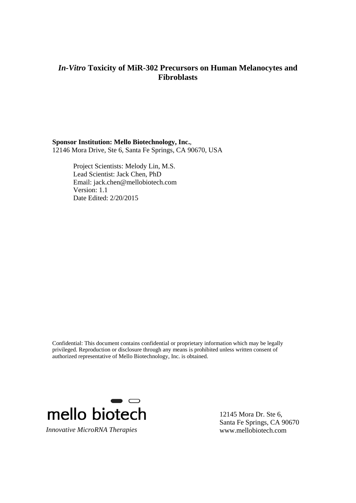### **Sponsor Institution: Mello Biotechnology, Inc.**,

12146 Mora Drive, Ste 6, Santa Fe Springs, CA 90670, USA

Project Scientists: Melody Lin, M.S. Lead Scientist: Jack Chen, PhD Email: jack.chen@mellobiotech.com Version: 1.1 Date Edited: 2/20/2015

Confidential: This document contains confidential or proprietary information which may be legally privileged. Reproduction or disclosure through any means is prohibited unless written consent of authorized representative of Mello Biotechnology, Inc. is obtained.



12145 Mora Dr. Ste 6, Santa Fe Springs, CA 90670 www.mellobiotech.com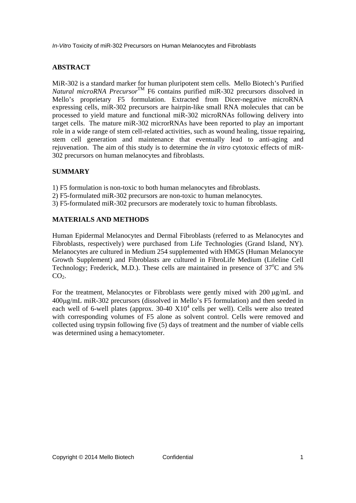## **ABSTRACT**

MiR-302 is a standard marker for human pluripotent stem cells. Mello Biotech's Purified *Natural microRNA Precursor*TM F6 contains purified miR-302 precursors dissolved in Mello's proprietary F5 formulation. Extracted from Dicer-negative microRNA expressing cells, miR-302 precursors are hairpin-like small RNA molecules that can be processed to yield mature and functional miR-302 microRNAs following delivery into target cells. The mature miR-302 microrRNAs have been reported to play an important role in a wide range of stem cell-related activities, such as wound healing, tissue repairing, stem cell generation and maintenance that eventually lead to anti-aging and rejuvenation. The aim of this study is to determine the *in vitro* cytotoxic effects of miR-302 precursors on human melanocytes and fibroblasts.

### **SUMMARY**

- 1) F5 formulation is non-toxic to both human melanocytes and fibroblasts.
- 2) F5-formulated miR-302 precursors are non-toxic to human melanocytes.
- 3) F5-formulated miR-302 precursors are moderately toxic to human fibroblasts.

### **MATERIALS AND METHODS**

Human Epidermal Melanocytes and Dermal Fibroblasts (referred to as Melanocytes and Fibroblasts, respectively) were purchased from Life Technologies (Grand Island, NY). Melanocytes are cultured in Medium 254 supplemented with HMGS (Human Melanocyte Growth Supplement) and Fibroblasts are cultured in FibroLife Medium (Lifeline Cell Technology; Frederick, M.D.). These cells are maintained in presence of  $37^{\circ}$ C and 5%  $CO<sub>2</sub>$ .

For the treatment, Melanocytes or Fibroblasts were gently mixed with  $200 \mu g/mL$  and 400g/mL miR-302 precursors (dissolved in Mello's F5 formulation) and then seeded in each well of 6-well plates (approx.  $30-40$   $X10<sup>4</sup>$  cells per well). Cells were also treated with corresponding volumes of F5 alone as solvent control. Cells were removed and collected using trypsin following five (5) days of treatment and the number of viable cells was determined using a hemacytometer.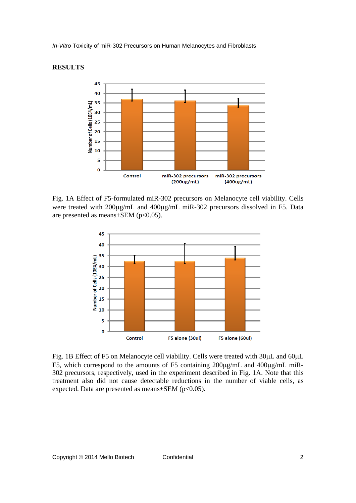#### **RESULTS**



Fig. 1A Effect of F5-formulated miR-302 precursors on Melanocyte cell viability. Cells were treated with 200µg/mL and 400µg/mL miR-302 precursors dissolved in F5. Data are presented as means $\pm$ SEM (p<0.05).



Fig. 1B Effect of F5 on Melanocyte cell viability. Cells were treated with 30uL and 60uL F5, which correspond to the amounts of F5 containing  $200\mu\text{g/mL}$  and  $400\mu\text{g/mL}$  miR-302 precursors, respectively, used in the experiment described in Fig. 1A. Note that this treatment also did not cause detectable reductions in the number of viable cells, as expected. Data are presented as means $\pm$ SEM (p<0.05).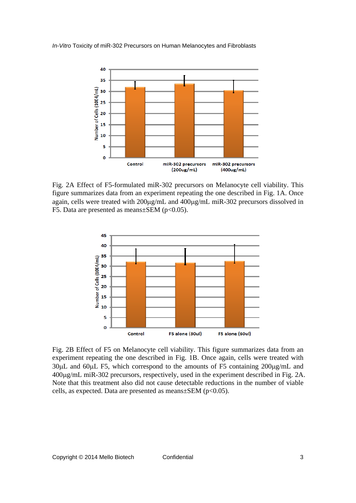

Fig. 2A Effect of F5-formulated miR-302 precursors on Melanocyte cell viability. This figure summarizes data from an experiment repeating the one described in Fig. 1A. Once again, cells were treated with 200µg/mL and 400µg/mL miR-302 precursors dissolved in F5. Data are presented as means $\pm$ SEM (p<0.05).



Fig. 2B Effect of F5 on Melanocyte cell viability. This figure summarizes data from an experiment repeating the one described in Fig. 1B. Once again, cells were treated with  $30\mu$ L and  $60\mu$ L F5, which correspond to the amounts of F5 containing  $200\mu$ g/mL and 400g/mL miR-302 precursors, respectively, used in the experiment described in Fig. 2A. Note that this treatment also did not cause detectable reductions in the number of viable cells, as expected. Data are presented as means $\pm$ SEM (p<0.05).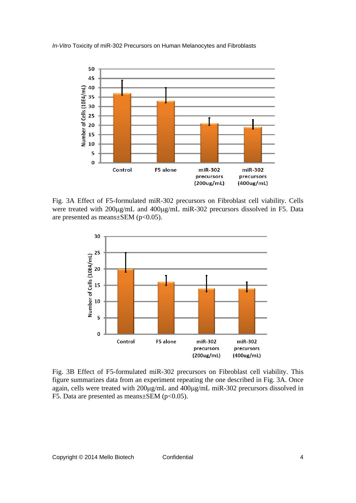

Fig. 3A Effect of F5-formulated miR-302 precursors on Fibroblast cell viability. Cells were treated with 200µg/mL and 400µg/mL miR-302 precursors dissolved in F5. Data are presented as means $\pm$ SEM (p<0.05).



Fig. 3B Effect of F5-formulated miR-302 precursors on Fibroblast cell viability. This figure summarizes data from an experiment repeating the one described in Fig. 3A. Once again, cells were treated with  $200\mu\text{g/mL}$  and  $400\mu\text{g/mL}$  miR-302 precursors dissolved in F5. Data are presented as means $\pm$ SEM (p<0.05).